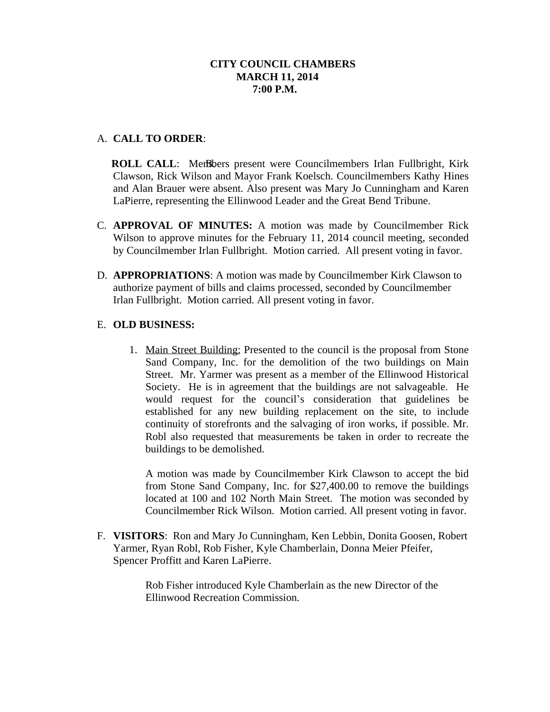## **CITY COUNCIL CHAMBERS MARCH 11, 2014 7:00 P.M.**

# A. **CALL TO ORDER**:

**ROLL CALL:** Members present were Councilmembers Irlan Fullbright, Kirk Clawson, Rick Wilson and Mayor Frank Koelsch. Councilmembers Kathy Hines and Alan Brauer were absent. Also present was Mary Jo Cunningham and Karen LaPierre, representing the Ellinwood Leader and the Great Bend Tribune.

- C. **APPROVAL OF MINUTES:** A motion was made by Councilmember Rick Wilson to approve minutes for the February 11, 2014 council meeting, seconded by Councilmember Irlan Fullbright. Motion carried. All present voting in favor.
- D. **APPROPRIATIONS**: A motion was made by Councilmember Kirk Clawson to authorize payment of bills and claims processed, seconded by Councilmember Irlan Fullbright. Motion carried. All present voting in favor.

## E. **OLD BUSINESS:**

1. Main Street Building: Presented to the council is the proposal from Stone Sand Company, Inc. for the demolition of the two buildings on Main Street. Mr. Yarmer was present as a member of the Ellinwood Historical Society. He is in agreement that the buildings are not salvageable. He would request for the council's consideration that guidelines be established for any new building replacement on the site, to include continuity of storefronts and the salvaging of iron works, if possible. Mr. Robl also requested that measurements be taken in order to recreate the buildings to be demolished.

A motion was made by Councilmember Kirk Clawson to accept the bid from Stone Sand Company, Inc. for \$27,400.00 to remove the buildings located at 100 and 102 North Main Street. The motion was seconded by Councilmember Rick Wilson. Motion carried. All present voting in favor.

F. **VISITORS**: Ron and Mary Jo Cunningham, Ken Lebbin, Donita Goosen, Robert Yarmer, Ryan Robl, Rob Fisher, Kyle Chamberlain, Donna Meier Pfeifer, Spencer Proffitt and Karen LaPierre.

> Rob Fisher introduced Kyle Chamberlain as the new Director of the Ellinwood Recreation Commission.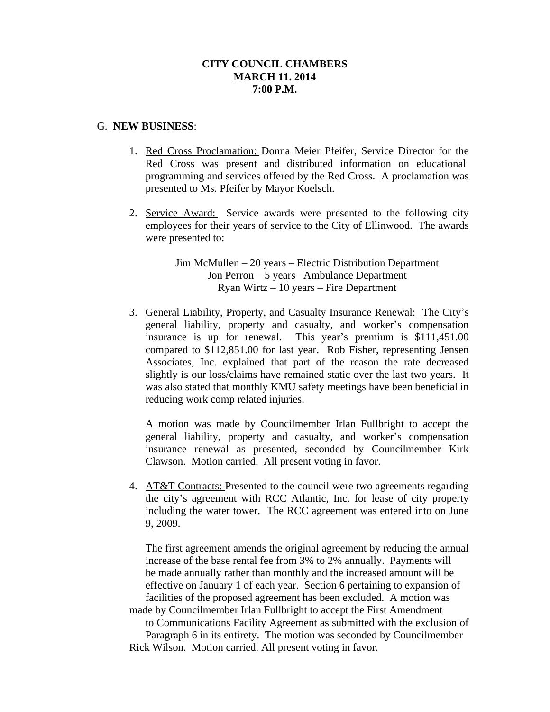## **CITY COUNCIL CHAMBERS MARCH 11. 2014 7:00 P.M.**

#### G. **NEW BUSINESS**:

- 1. Red Cross Proclamation: Donna Meier Pfeifer, Service Director for the Red Cross was present and distributed information on educational programming and services offered by the Red Cross. A proclamation was presented to Ms. Pfeifer by Mayor Koelsch.
- 2. Service Award: Service awards were presented to the following city employees for their years of service to the City of Ellinwood. The awards were presented to:

Jim McMullen – 20 years – Electric Distribution Department Jon Perron – 5 years –Ambulance Department Ryan Wirtz – 10 years – Fire Department

3. General Liability, Property, and Casualty Insurance Renewal: The City's general liability, property and casualty, and worker's compensation insurance is up for renewal. This year's premium is \$111,451.00 compared to \$112,851.00 for last year. Rob Fisher, representing Jensen Associates, Inc. explained that part of the reason the rate decreased slightly is our loss/claims have remained static over the last two years. It was also stated that monthly KMU safety meetings have been beneficial in reducing work comp related injuries.

A motion was made by Councilmember Irlan Fullbright to accept the general liability, property and casualty, and worker's compensation insurance renewal as presented, seconded by Councilmember Kirk Clawson. Motion carried. All present voting in favor.

4. AT&T Contracts: Presented to the council were two agreements regarding the city's agreement with RCC Atlantic, Inc. for lease of city property including the water tower. The RCC agreement was entered into on June 9, 2009.

The first agreement amends the original agreement by reducing the annual increase of the base rental fee from 3% to 2% annually. Payments will be made annually rather than monthly and the increased amount will be effective on January 1 of each year. Section 6 pertaining to expansion of facilities of the proposed agreement has been excluded. A motion was made by Councilmember Irlan Fullbright to accept the First Amendment

to Communications Facility Agreement as submitted with the exclusion of Paragraph 6 in its entirety. The motion was seconded by Councilmember Rick Wilson. Motion carried. All present voting in favor.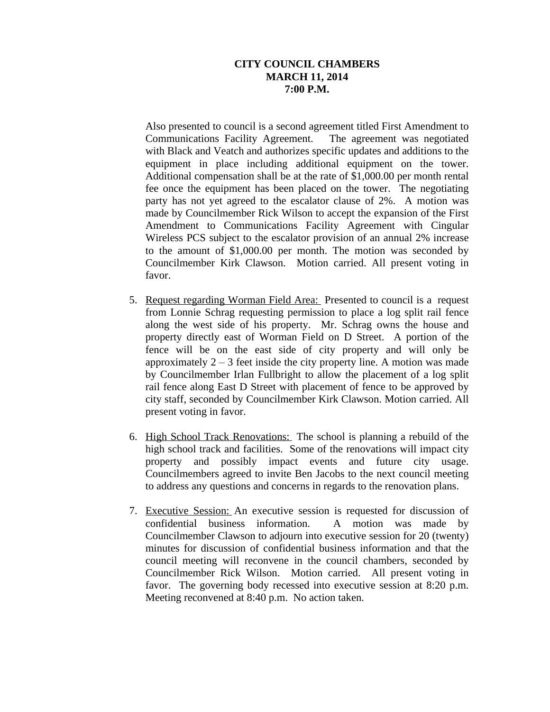## **CITY COUNCIL CHAMBERS MARCH 11, 2014 7:00 P.M.**

Also presented to council is a second agreement titled First Amendment to Communications Facility Agreement. The agreement was negotiated with Black and Veatch and authorizes specific updates and additions to the equipment in place including additional equipment on the tower. Additional compensation shall be at the rate of \$1,000.00 per month rental fee once the equipment has been placed on the tower. The negotiating party has not yet agreed to the escalator clause of 2%. A motion was made by Councilmember Rick Wilson to accept the expansion of the First Amendment to Communications Facility Agreement with Cingular Wireless PCS subject to the escalator provision of an annual 2% increase to the amount of \$1,000.00 per month. The motion was seconded by Councilmember Kirk Clawson. Motion carried. All present voting in favor.

- 5. Request regarding Worman Field Area: Presented to council is a request from Lonnie Schrag requesting permission to place a log split rail fence along the west side of his property. Mr. Schrag owns the house and property directly east of Worman Field on D Street. A portion of the fence will be on the east side of city property and will only be approximately  $2 - 3$  feet inside the city property line. A motion was made by Councilmember Irlan Fullbright to allow the placement of a log split rail fence along East D Street with placement of fence to be approved by city staff, seconded by Councilmember Kirk Clawson. Motion carried. All present voting in favor.
- 6. High School Track Renovations: The school is planning a rebuild of the high school track and facilities. Some of the renovations will impact city property and possibly impact events and future city usage. Councilmembers agreed to invite Ben Jacobs to the next council meeting to address any questions and concerns in regards to the renovation plans.
- 7. Executive Session: An executive session is requested for discussion of confidential business information. A motion was made by Councilmember Clawson to adjourn into executive session for 20 (twenty) minutes for discussion of confidential business information and that the council meeting will reconvene in the council chambers, seconded by Councilmember Rick Wilson. Motion carried. All present voting in favor. The governing body recessed into executive session at 8:20 p.m. Meeting reconvened at 8:40 p.m. No action taken.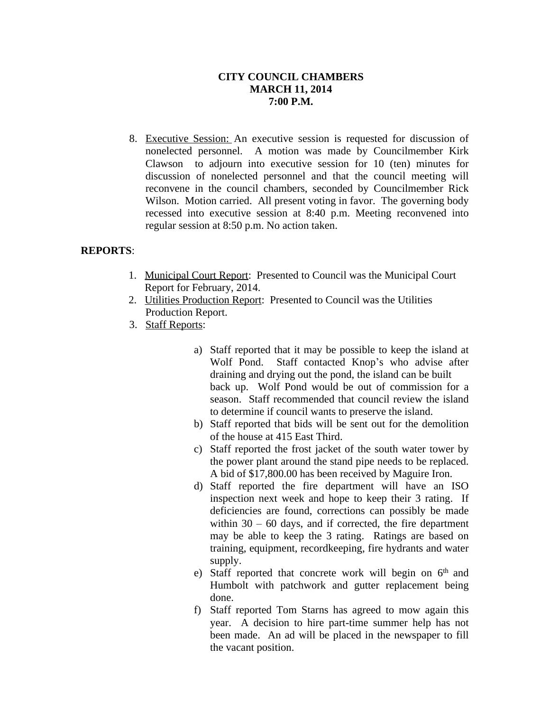# **CITY COUNCIL CHAMBERS MARCH 11, 2014 7:00 P.M.**

8. Executive Session: An executive session is requested for discussion of nonelected personnel. A motion was made by Councilmember Kirk Clawson to adjourn into executive session for 10 (ten) minutes for discussion of nonelected personnel and that the council meeting will reconvene in the council chambers, seconded by Councilmember Rick Wilson. Motion carried. All present voting in favor. The governing body recessed into executive session at 8:40 p.m. Meeting reconvened into regular session at 8:50 p.m. No action taken.

## **REPORTS**:

- 1. Municipal Court Report: Presented to Council was the Municipal Court Report for February, 2014.
- 2. Utilities Production Report: Presented to Council was the Utilities Production Report.
- 3. Staff Reports:
	- a) Staff reported that it may be possible to keep the island at Wolf Pond. Staff contacted Knop's who advise after draining and drying out the pond, the island can be built back up. Wolf Pond would be out of commission for a season. Staff recommended that council review the island to determine if council wants to preserve the island.
	- b) Staff reported that bids will be sent out for the demolition of the house at 415 East Third.
	- c) Staff reported the frost jacket of the south water tower by the power plant around the stand pipe needs to be replaced. A bid of \$17,800.00 has been received by Maguire Iron.
	- d) Staff reported the fire department will have an ISO inspection next week and hope to keep their 3 rating. If deficiencies are found, corrections can possibly be made within  $30 - 60$  days, and if corrected, the fire department may be able to keep the 3 rating. Ratings are based on training, equipment, recordkeeping, fire hydrants and water supply.
	- e) Staff reported that concrete work will begin on 6<sup>th</sup> and Humbolt with patchwork and gutter replacement being done.
	- f) Staff reported Tom Starns has agreed to mow again this year. A decision to hire part-time summer help has not been made. An ad will be placed in the newspaper to fill the vacant position.